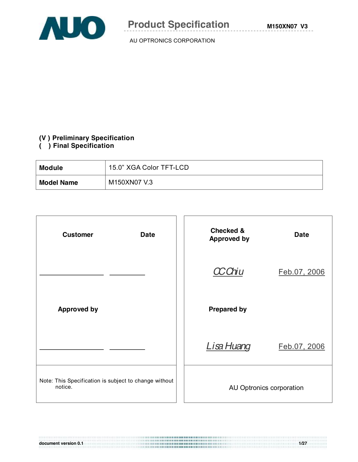

#### **(V ) Preliminary Specification**

# **( ) Final Specification**

| <b>Module</b>     | 15.0" XGA Color TFT-LCD |
|-------------------|-------------------------|
| <b>Model Name</b> | M150XN07 V.3            |



**document version 0.1 1/27**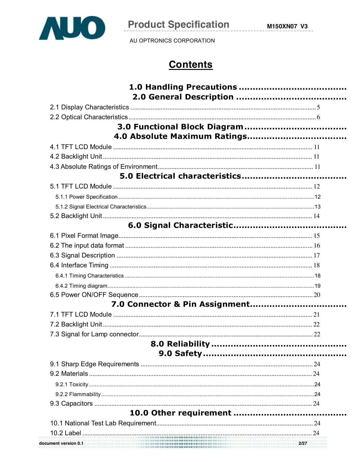

AU OPTRONICS CORPORATION

# **Contents**

| document version 0.1 | . <b>. . 2/27</b> . |
|----------------------|---------------------|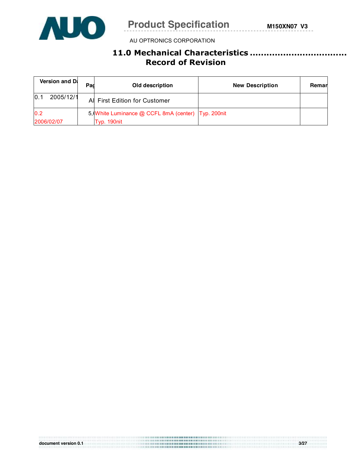

# **11.0 Mechanical Characteristics ................................................ Record of Revision**

| Version and D.    | Pad | Old description                                      | <b>New Description</b> | Remar |
|-------------------|-----|------------------------------------------------------|------------------------|-------|
| 2005/12/1<br>10.1 |     | Al First Edition for Customer                        |                        |       |
| 0.2               |     | 5, White Luminance @ CCFL 8mA (center)   Typ. 200nit |                        |       |
| 2006/02/07        |     | Typ. 190nit                                          |                        |       |

**document version 0.1 3/27**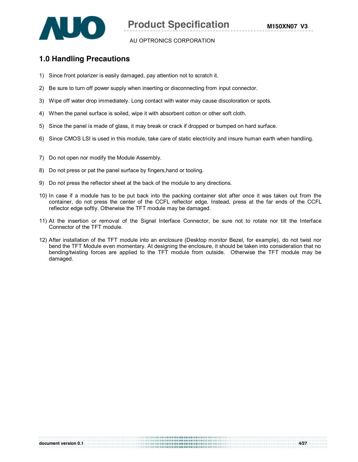

# **1.0 Handling Precautions**

- 1) Since front polarizer is easily damaged, pay attention not to scratch it.
- 2) Be sure to turn off power supply when inserting or disconnecting from input connector.
- 3) Wipe off water drop immediately. Long contact with water may cause discoloration or spots.
- 4) When the panel surface is soiled, wipe it with absorbent cotton or other soft cloth.
- 5) Since the panel is made of glass, it may break or crack if dropped or bumped on hard surface.
- 6) Since CMOS LSI is used in this module, take care of static electricity and insure human earth when handling.
- 7) Do not open nor modify the Module Assembly.
- 8) Do not press or pat the panel surface by fingers,hand or tooling.
- 9) Do not press the reflector sheet at the back of the module to any directions.
- 10) In case if a module has to be put back into the packing container slot after once it was taken out from the container, do not press the center of the CCFL reflector edge. Instead, press at the far ends of the CCFL reflector edge softly. Otherwise the TFT module may be damaged.
- 11) At the insertion or removal of the Signal Interface Connector, be sure not to rotate nor tilt the Interface Connector of the TFT module.
- 12) After installation of the TFT module into an enclosure (Desktop monitor Bezel, for example), do not twist nor bend the TFT Module even momentary. At designing the enclosure, it should be taken into consideration that no bending/twisting forces are applied to the TFT module from outside. Otherwise the TFT module may be damaged.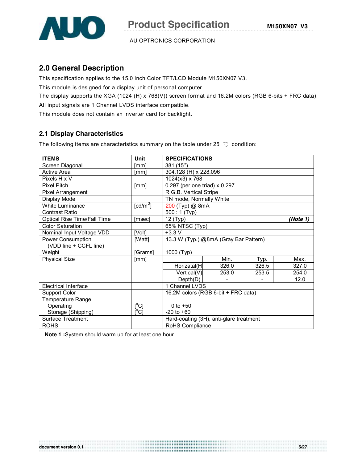

# **2.0 General Description**

This specification applies to the 15.0 inch Color TFT/LCD Module M150XN07 V3.

This module is designed for a display unit of personal computer.

The display supports the XGA (1024 (H) x 768(V)) screen format and 16.2M colors (RGB 6-bits + FRC data).

All input signals are 1 Channel LVDS interface compatible.

This module does not contain an inverter card for backlight.

# **2.1 Display Characteristics**

The following items are characteristics summary on the table under 25 ℃ condition:

| <b>ITEMS</b>                | Unit                                    | <b>SPECIFICATIONS</b>                   |       |       |          |  |  |
|-----------------------------|-----------------------------------------|-----------------------------------------|-------|-------|----------|--|--|
| Screen Diagonal             | [mm]                                    | 381 (15")                               |       |       |          |  |  |
| Active Area                 | [mm]                                    | 304.128 (H) x 228.096                   |       |       |          |  |  |
| Pixels H x V                |                                         | 1024(x3) x 768                          |       |       |          |  |  |
| <b>Pixel Pitch</b>          | [mm]                                    | 0.297 (per one triad) x 0.297           |       |       |          |  |  |
| Pixel Arrangement           |                                         | R.G.B. Vertical Stripe                  |       |       |          |  |  |
| Display Mode                |                                         | TN mode, Normally White                 |       |       |          |  |  |
| White Luminance             | $\lceil$ cd/m <sup>2</sup> $\rceil$     | 200 (Typ) @ 8mA                         |       |       |          |  |  |
| <b>Contrast Ratio</b>       |                                         | $\overline{500}$ : 1 (Typ)              |       |       |          |  |  |
| Optical Rise Time/Fall Time | [msec]                                  | 12 (Typ)                                |       |       | (Note 1) |  |  |
| <b>Color Saturation</b>     |                                         | 65% NTSC (Typ)                          |       |       |          |  |  |
| Nominal Input Voltage VDD   | [Volt]                                  | $+3.3 V$                                |       |       |          |  |  |
| Power Consumption           | [Watt]                                  | 13.3 W (Typ.) @8mA (Gray Bar Pattern)   |       |       |          |  |  |
| (VDD line + CCFL line)      |                                         |                                         |       |       |          |  |  |
| Weight                      | [Grams]                                 | 1000 (Typ)                              |       |       |          |  |  |
| <b>Physical Size</b>        | [mm]                                    |                                         | Min.  | Typ.  | Max.     |  |  |
|                             |                                         | Horizatal(H                             | 326.0 | 326.5 | 327.0    |  |  |
|                             |                                         | Vertical(V)                             | 253.0 | 253.5 | 254.0    |  |  |
|                             |                                         | Depth(D)                                |       |       | 12.0     |  |  |
| Electrical Interface        |                                         | 1 Channel LVDS                          |       |       |          |  |  |
| <b>Support Color</b>        |                                         | 16.2M colors (RGB 6-bit + FRC data)     |       |       |          |  |  |
| <b>Temperature Range</b>    |                                         |                                         |       |       |          |  |  |
| Operating                   | $\mathsf{I}^\circ\mathsf{C}$            | 0 to $+50$                              |       |       |          |  |  |
| Storage (Shipping)          | $\mathsf{I}^\circ\mathsf{C} \mathsf{I}$ | $-20$ to $+60$                          |       |       |          |  |  |
| <b>Surface Treatment</b>    |                                         | Hard-coating (3H), anti-glare treatment |       |       |          |  |  |
| <b>ROHS</b>                 |                                         | RoHS Compliance                         |       |       |          |  |  |

**Note 1 :**System should warm up for at least one hour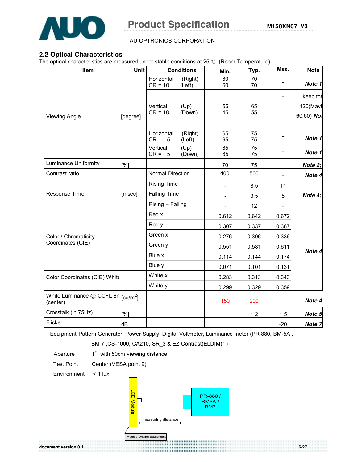

### **2.2 Optical Characteristics**

The optical characteristics are measured under stable conditions at 25 ℃ (Room Temperature):

| Item                                               | <b>Unit</b>       |                         | <b>Conditions</b> | Min.                         | Typ.     | Max.                     | <b>Note</b>       |       |  |          |
|----------------------------------------------------|-------------------|-------------------------|-------------------|------------------------------|----------|--------------------------|-------------------|-------|--|----------|
|                                                    |                   | Horizontal<br>$CR = 10$ | (Right)<br>(Left) | 60<br>60                     | 70<br>70 | -                        | Note 1            |       |  |          |
|                                                    |                   |                         |                   |                              |          |                          |                   |       |  | keep tot |
|                                                    |                   | Vertical                | (Up)              | 55                           | 65       |                          | 120(Mayt          |       |  |          |
| <b>Viewing Angle</b>                               | [degree]          | $CR = 10$               | (Down)            | 45                           | 55       |                          | 60,60) Not        |       |  |          |
|                                                    |                   | Horizontal<br>$CR = 5$  | (Right)<br>(Left) | 65<br>65                     | 75<br>75 |                          | Note 1            |       |  |          |
|                                                    |                   | Vertical<br>$CR = 5$    | (Up)<br>(Down)    | 65<br>65                     | 75<br>75 |                          | Note 1            |       |  |          |
| Luminance Uniformity                               | [%]               |                         |                   | 70                           | 75       |                          | Note 2;           |       |  |          |
| Contrast ratio                                     |                   | Normal Direction        |                   | 400                          | 500      | $\overline{\phantom{a}}$ | Note 4            |       |  |          |
|                                                    |                   | <b>Rising Time</b>      |                   | $\qquad \qquad \blacksquare$ | 8.5      | 11                       |                   |       |  |          |
| Response Time                                      | [msec]            | <b>Falling Time</b>     |                   | $\overline{\phantom{0}}$     | 3.5      | 5                        | Note $4:$         |       |  |          |
|                                                    |                   |                         | Rising + Falling  |                              | 12       | $\overline{a}$           |                   |       |  |          |
|                                                    |                   | Red x                   |                   | 0.612                        | 0.642    | 0.672                    |                   |       |  |          |
|                                                    |                   | Red y                   |                   |                              | 0.337    | 0.367                    |                   |       |  |          |
| Color / Chromaticity                               |                   | Green x                 |                   | 0.276                        | 0.306    | 0.336                    |                   |       |  |          |
| Coordinates (CIE)                                  |                   | Green y                 |                   | 0.551                        | 0.581    | 0.611                    |                   |       |  |          |
|                                                    |                   | Blue x                  |                   | 0.114                        | 0.144    | 0.174                    | Note 4            |       |  |          |
|                                                    |                   | Blue y                  |                   | 0.071                        | 0.101    | 0.131                    |                   |       |  |          |
| Color Coordinates (CIE) White                      |                   | White x                 |                   |                              |          |                          | 0.313             | 0.343 |  |          |
|                                                    |                   | White y                 |                   | 0.299                        | 0.329    | 0.359                    |                   |       |  |          |
| White Luminance $@$ CCFL 8n $[cd/m^2]$<br>(center) |                   |                         |                   | 150                          | 200      |                          | Note 4            |       |  |          |
| Crosstalk (in 75Hz)                                | $\lceil\% \rceil$ |                         |                   |                              | 1.2      | 1.5                      | Note 5            |       |  |          |
| Flicker                                            | dB                |                         |                   |                              |          | $-20$                    | Note <sub>7</sub> |       |  |          |

Equipment Pattern Generator, Power Supply, Digital Voltmeter, Luminance meter (PR 880, BM-5A ,

BM 7, CS-1000, CA210, SR 3 & EZ Contrast(ELDIM)\* )

Aperture 1° with 50cm viewing distance

Test Point Center (VESA point 9)

Environment < 1 lux



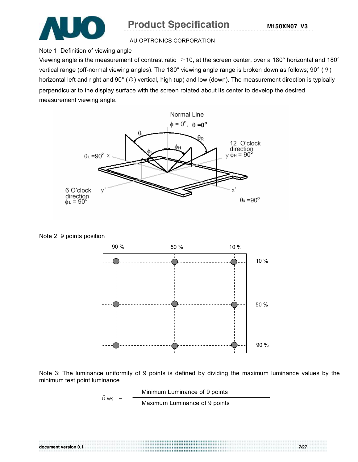

# **Product Specification** M150XN07 V3

#### AU OPTRONICS CORPORATION

Note 1: Definition of viewing angle

Viewing angle is the measurement of contrast ratio  $\geq 10$ , at the screen center, over a 180° horizontal and 180° vertical range (off-normal viewing angles). The 180° viewing angle range is broken down as follows; 90° ( $\theta$ ) horizontal left and right and 90° (Φ) vertical, high (up) and low (down). The measurement direction is typically perpendicular to the display surface with the screen rotated about its center to develop the desired measurement viewing angle.



Note 2: 9 points position



Note 3: The luminance uniformity of 9 points is defined by dividing the maximum luminance values by the minimum test point luminance

$$
\delta_{\text{W9}} = \frac{\text{Minimum Luminance of 9 points}}{\text{Maximum Luminance of 9 points}}
$$

**document version 0.1 7/27**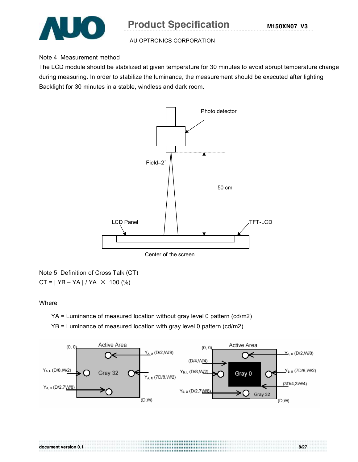

### Note 4: Measurement method

The LCD module should be stabilized at given temperature for 30 minutes to avoid abrupt temperature change during measuring. In order to stabilize the luminance, the measurement should be executed after lighting Backlight for 30 minutes in a stable, windless and dark room.



Center of the screen

Note 5: Definition of Cross Talk (CT)  $CT = | YB - YA | / YA \times 100 (%)$ 

#### Where

YA = Luminance of measured location without gray level 0 pattern (cd/m2)

YB = Luminance of measured location with gray level 0 pattern (cd/m2)



**document version 0.1 8/27**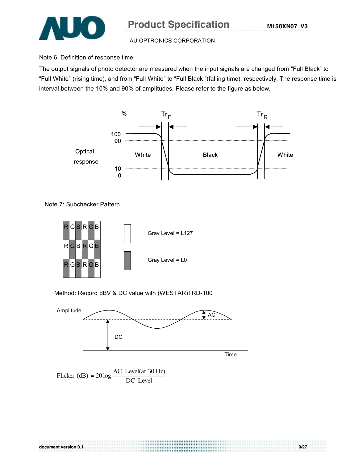

Note 6: Definition of response time:

The output signals of photo detector are measured when the input signals are changed from "Full Black" to "Full White" (rising time), and from "Full White" to "Full Black "(falling time), respectively. The response time is interval between the 10% and 90% of amplitudes. Please refer to the figure as below.



Note 7: Subchecker Pattern



Method: Record dBV & DC value with (WESTAR)TRD-100



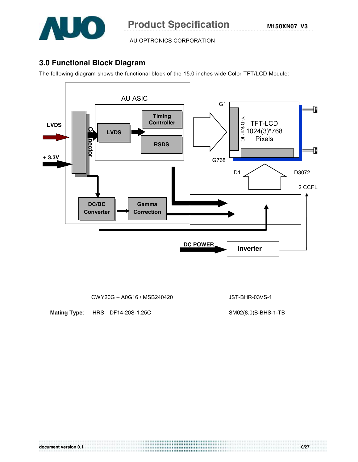

# **3.0 Functional Block Diagram**

The following diagram shows the functional block of the 15.0 inches wide Color TFT/LCD Module:



CWY20G – A0G16 / MSB240420 JST-BHR-03VS-1

**Mating Type**: HRS DF14-20S-1.25C SM02(8.0)B-BHS-1-TB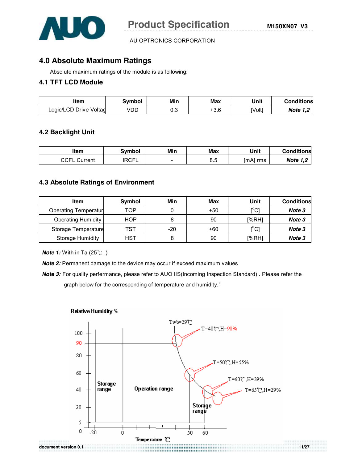

# **4.0 Absolute Maximum Ratings**

Absolute maximum ratings of the module is as following:

### **4.1 TFT LCD Module**

| ltem                   | Svmbol | Min | Max    | Unit          | <b>Conditions</b> |
|------------------------|--------|-----|--------|---------------|-------------------|
| Logic/LCD Drive Voltag | VDD    | 0.3 | $-3.6$ | <b>IVolt1</b> | <b>Note 1,2</b>   |

### **4.2 Backlight Unit**

| ltem            | <b>Symbol</b> | Min                      | Max       | Unit        | <b>Conditions</b>         |
|-----------------|---------------|--------------------------|-----------|-------------|---------------------------|
| CCFL<br>Current | <b>RCFL</b>   | $\overline{\phantom{0}}$ | 요∊<br>ο.υ | [mA]<br>rms | <b>Note</b><br>1 O<br>، ا |

#### **4.3 Absolute Ratings of Environment**

| Item                      | Symbol     | Min   | Max   | Unit                                    | <b>Conditions</b> |
|---------------------------|------------|-------|-------|-----------------------------------------|-------------------|
| Operating Temperatur      | тор        |       | $+50$ | $\mathsf{I}^\circ\mathsf{C}$            | Note 3            |
| <b>Operating Humidity</b> | <b>HOP</b> |       | 90    | [%RH]                                   | Note 3            |
| Storage Temperature       | TST        | $-20$ | $+60$ | $\mathsf{I}^\circ\mathsf{C} \mathsf{I}$ | Note 3            |
| <b>Storage Humidity</b>   | HST        |       | 90    | [%RH]                                   | Note 3            |

*Note 1:* With in Ta (25℃)

**Note 2:** Permanent damage to the device may occur if exceed maximum values

*Note 3:* For quality perfermance, please refer to AUO IIS(Incoming Inspection Standard) . Please refer the graph below for the corresponding of temperature and humidity."



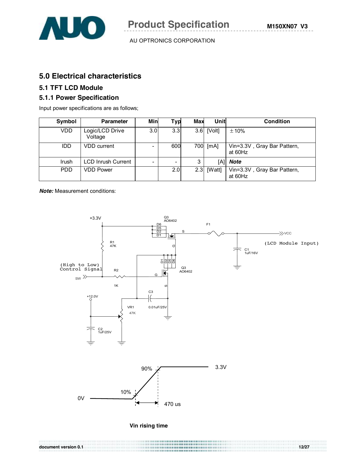

# **5.0 Electrical characteristics**

# **5.1 TFT LCD Module**

### **5.1.1 Power Specification**

Input power specifications are as follows;

| Symbol     | <b>Parameter</b>           | Min | <b>Typ</b> | Max | <b>Unit</b>  | <b>Condition</b>                       |
|------------|----------------------------|-----|------------|-----|--------------|----------------------------------------|
| VDD.       | Logic/LCD Drive<br>Voltage | 3.0 | 3.3        |     | $3.6$ [Volt] | $\pm 10\%$                             |
| <b>IDD</b> | VDD current                |     | 600        |     | 700 [mA]     | Vin=3.3V, Gray Bar Pattern,<br>at 60Hz |
| Irush      | <b>LCD Inrush Current</b>  |     |            | 3   |              | [A] <b>Note</b>                        |
| <b>PDD</b> | <b>VDD Power</b>           |     | 2.0        |     | $2.3$ [Watt] | Vin=3.3V, Gray Bar Pattern,<br>at 60Hz |

*Note:* Measurement conditions:

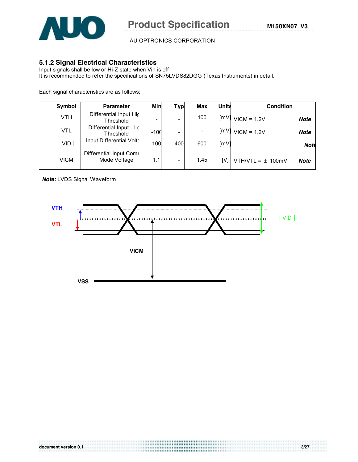

# **5.1.2 Signal Electrical Characteristics**

Input signals shall be low or Hi-Z state when Vin is off It is recommended to refer the specifications of SN75LVDS82DGG (Texas Instruments) in detail.

Each signal characteristics are as follows;

| Symbol      | <b>Parameter</b>                           | Min    | Typ                      | <b>Max</b> | <b>Units</b> | <b>Condition</b>                     |
|-------------|--------------------------------------------|--------|--------------------------|------------|--------------|--------------------------------------|
| <b>VTH</b>  | Differential Input Hig<br><b>Threshold</b> |        |                          | 100        | ImVI         | $VICM = 1.2V$<br><b>Note</b>         |
| <b>VTL</b>  | Differential Input<br>Threshold            | $-100$ |                          |            | [MV]         | $VICM = 1.2V$<br><b>Note</b>         |
| <b>VID</b>  | Input Differential Volta                   | 100    | 400                      | 600        | [mV]         | <b>Note</b>                          |
| <b>VICM</b> | Differential Input Comr<br>Mode Voltage    | 1.1    | $\overline{\phantom{0}}$ | 1.45       | IV1 I        | VTH/VTL = $\pm$ 100mV<br><b>Note</b> |

*Note:* LVDS Signal Waveform

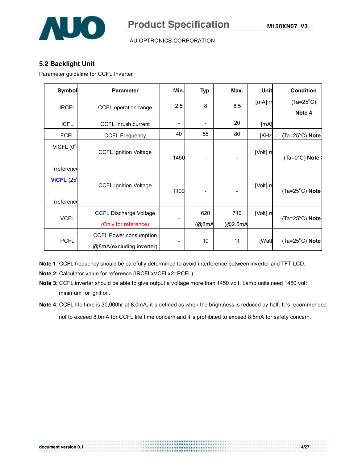

# **5.2 Backlight Unit**

Parameter guideline for CCFL Inverter

| <b>Symbol</b>               | <b>Parameter</b>              | Min.                     | Typ.  | Max.    | Unit         | <b>Condition</b>        |
|-----------------------------|-------------------------------|--------------------------|-------|---------|--------------|-------------------------|
| <b>IRCFL</b>                | CCFL operation range          | 2.5                      | 8     | 8.5     | [mA] rr      | $(Ta=25^{\circ}C)$      |
|                             |                               |                          |       |         |              | Note 4                  |
| <b>ICFL</b>                 | CCFL Inrush current           | $\overline{\phantom{a}}$ | -     | 20      | [mA]         |                         |
| <b>FCFL</b>                 | <b>CCFL Frequency</b>         | 40                       | 55    | 80      | [KHz]        | $(Ta=25^{\circ}C)$ Note |
| ViCFL $(0^{\circ}$          | <b>CCFL Ignition Voltage</b>  | 1450                     |       |         | [Volt] rr    | $(Ta=0^{\circ}C)$ Note  |
| (reference                  |                               |                          |       |         |              |                         |
| <b>ViCFL</b> $(25^{\circ})$ | <b>CCFL Ignition Voltage</b>  | 1100                     |       |         | [Volt] rr    | $(Ta=25^{\circ}C)$ Note |
| (reference                  |                               |                          |       |         |              |                         |
| <b>VCFL</b>                 | <b>CCFL Discharge Voltage</b> |                          | 620   | 710     | [Volt] rr    | $(Ta=25^{\circ}C)$ Note |
|                             | (Only for reference)          |                          | (@8mA | (@2.5mA |              |                         |
| <b>PCFL</b>                 | CCFL Power consumption        |                          | 10    | 11      | <b>IWatt</b> | $(Ta=25^{\circ}C)$ Note |
|                             | @8mA(excluding inverter)      |                          |       |         |              |                         |

**Note 1***:* CCFL frequency should be carefully determined to avoid interference between inverter and TFT LCD.

**Note 2**: Calculator value for reference (IRCFLxVCFLx2=PCFL).

- **Note 3**: CCFL inverter should be able to give output a voltage more than 1450 volt. Lamp units need 1450 volt minimum for ignition.
- **Note 4**: CCFL life time is 30,000hr at 8.0mA, it's defined as when the brightness is reduced by half. It 's recommended not to exceed 8.0mA for CCFL life time concern and it 's prohibited to exceed 8.5mA for safety concern.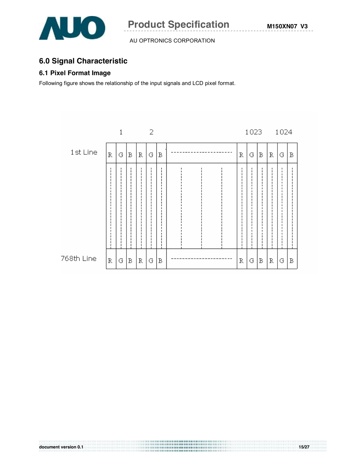

# **6.0 Signal Characteristic**

# **6.1 Pixel Format Image**

Following figure shows the relationship of the input signals and LCD pixel format.

|            |             | 1 |   |   | 2 |   |   | 1023 |   |   | 1024 |   |
|------------|-------------|---|---|---|---|---|---|------|---|---|------|---|
| 1st Line   | R           | G | B | R | G | B | R | G    | В | R | G    | В |
|            |             |   |   |   | ٠ |   |   | ٠    | п |   |      |   |
| 768th Line | $\mathbb R$ | G | B | R | G | B | R | G    | B | R | G    | B |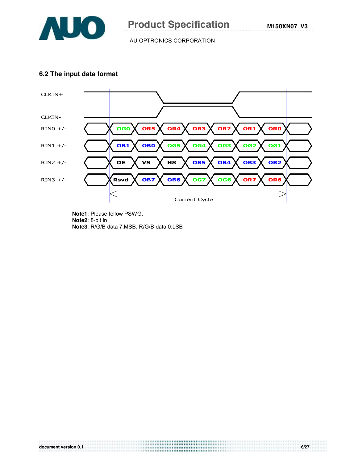

### **6.2 The input data format**



**Note1**: Please follow PSWG. **Note2**: 8-bit in **Note3**: R/G/B data 7:MSB, R/G/B data 0:LSB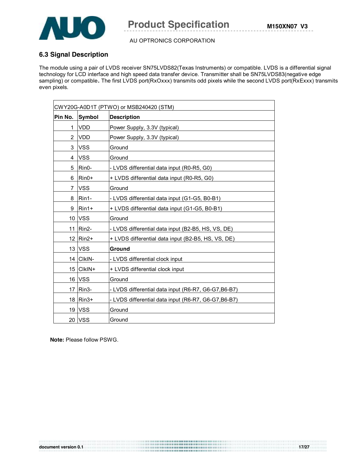

# **6.3 Signal Description**

The module using a pair of LVDS receiver SN75LVDS82(Texas Instruments) or compatible. LVDS is a differential signal technology for LCD interface and high speed data transfer device. Transmitter shall be SN75LVDS83(negative edge sampling) or compatible**.** The first LVDS port(RxOxxx) transmits odd pixels while the second LVDS port(RxExxx) transmits even pixels.

| CWY20G-A0D1T (PTWO) or MSB240420 (STM) |               |                                                      |  |
|----------------------------------------|---------------|------------------------------------------------------|--|
| Pin No.                                | <b>Symbol</b> | <b>Description</b>                                   |  |
| 1                                      | <b>VDD</b>    | Power Supply, 3.3V (typical)                         |  |
| 2                                      | <b>VDD</b>    | Power Supply, 3.3V (typical)                         |  |
| 3                                      | <b>VSS</b>    | Ground                                               |  |
| 4                                      | <b>VSS</b>    | Ground                                               |  |
| 5                                      | Rin0-         | - LVDS differential data input (R0-R5, G0)           |  |
| 6                                      | Rin0+         | + LVDS differential data input (R0-R5, G0)           |  |
| 7                                      | <b>VSS</b>    | Ground                                               |  |
| 8                                      | Rin1-         | - LVDS differential data input (G1-G5, B0-B1)        |  |
| 9                                      | Rin1+         | + LVDS differential data input (G1-G5, B0-B1)        |  |
| 10 <sup>1</sup>                        | <b>VSS</b>    | Ground                                               |  |
| 11                                     | Rin2-         | - LVDS differential data input (B2-B5, HS, VS, DE)   |  |
|                                        | 12   Rin2+    | + LVDS differential data input (B2-B5, HS, VS, DE)   |  |
| 13                                     | <b>VSS</b>    | Ground                                               |  |
|                                        | 14 CIkIN-     | - LVDS differential clock input                      |  |
|                                        | 15 CIkIN+     | + LVDS differential clock input                      |  |
|                                        | 16 VSS        | Ground                                               |  |
| 17                                     | <b>IRin3-</b> | - LVDS differential data input (R6-R7, G6-G7, B6-B7) |  |
| 18                                     | Rin3+         | - LVDS differential data input (R6-R7, G6-G7, B6-B7) |  |
|                                        | <b>19 VSS</b> | Ground                                               |  |
|                                        | 20 VSS        | Ground                                               |  |

**Note:** Please follow PSWG.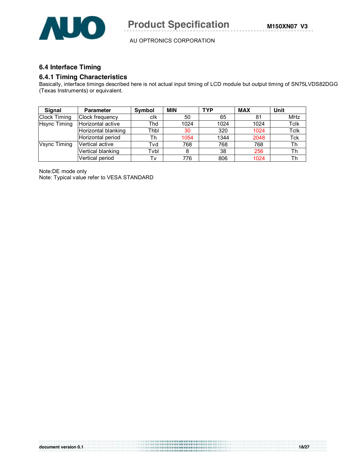

# **6.4 Interface Timing**

#### **6.4.1 Timing Characteristics**

Basically, interface timings described here is not actual input timing of LCD module but output timing of SN75LVDS82DGG (Texas Instruments) or equivalent.

| <b>Signal</b>                            | <b>Parameter</b>    | Symbol | <b>MIN</b> | <b>TYP</b> | <b>MAX</b> | Unit |
|------------------------------------------|---------------------|--------|------------|------------|------------|------|
| <b>Clock Timing</b>                      | Clock frequency     | clk    | 50         | 65         | 81         | MHz  |
| Horizontal active<br><b>Hsync Timing</b> |                     | Thd    | 1024       | 1024       | 1024       | Tclk |
|                                          | Horizontal blanking | Thbl   | 30         | 320        | 1024       | Tclk |
|                                          | Horizontal period   | Th     | 1054       | 1344       | 2048       | Tck  |
| Vsync Timing                             | Vertical active     | Tvd    | 768        | 768        | 768        | Th   |
|                                          | Vertical blanking   | Tvbl   | 8          | 38         | 256        | Th   |
|                                          | Vertical period     | Tv     | 776        | 806        | 1024       | Th   |

Note:DE mode only Note: Typical value refer to VESA STANDARD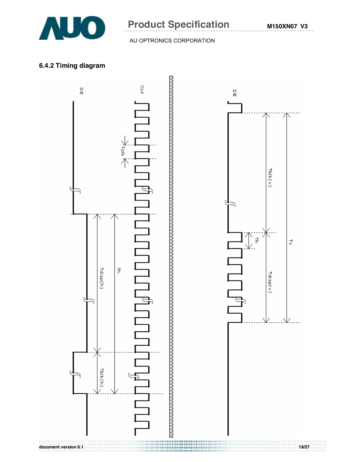

# **Product Specification** M150XN07 V3

### AU OPTRONICS CORPORATION

# **6.4.2 Timing diagram**

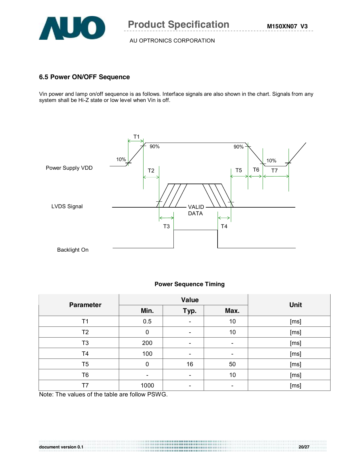

# **6.5 Power ON/OFF Sequence**

Vin power and lamp on/off sequence is as follows. Interface signals are also shown in the chart. Signals from any system shall be Hi-Z state or low level when Vin is off.



#### **Power Sequence Timing**

| <b>Parameter</b> |          | <b>Value</b>             | <b>Unit</b> |      |
|------------------|----------|--------------------------|-------------|------|
|                  | Min.     | Typ.                     | Max.        |      |
| Τ1               | 0.5      | $\overline{\phantom{a}}$ | 10          | [ms] |
| T <sub>2</sub>   | 0        | $\overline{\phantom{a}}$ | 10          | [ms] |
| T3               | 200      |                          |             | [ms] |
| T4               | 100      |                          |             | [ms] |
| T5               | $\Omega$ | 16                       | 50          | [ms] |
| T6               |          |                          | 10          | [ms] |
| Τ7               | 1000     |                          |             | [ms] |

Note: The values of the table are follow PSWG.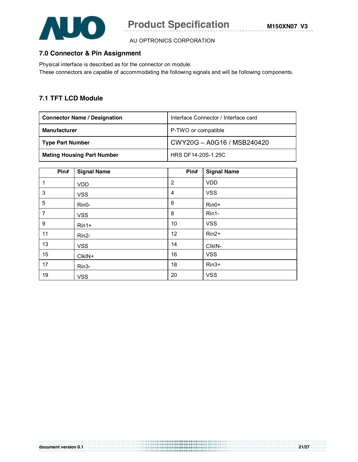

# **7.0 Connector & Pin Assignment**

Physical interface is described as for the connector on module. These connectors are capable of accommodating the following signals and will be following components.

# **7.1 TFT LCD Module**

| <b>Connector Name / Designation</b> | Interface Connector / Interface card |  |
|-------------------------------------|--------------------------------------|--|
| <b>Manufacturer</b>                 | P-TWO or compatible                  |  |
| <b>Type Part Number</b>             | CWY20G - A0G16 / MSB240420           |  |
| <b>Mating Housing Part Number</b>   | HRS DF14-20S-1.25C                   |  |

| Pin#           | <b>Signal Name</b> | Pin#           | <b>Signal Name</b> |
|----------------|--------------------|----------------|--------------------|
| $\mathbf{1}$   | <b>VDD</b>         | $\overline{2}$ | <b>VDD</b>         |
| 3              | <b>VSS</b>         | $\overline{4}$ | <b>VSS</b>         |
| 5              | Rin0-              | 6              | Rin0+              |
| $\overline{7}$ | <b>VSS</b>         | 8              | Rin1-              |
| 9              | $Rin1+$            | 10             | <b>VSS</b>         |
| 11             | Rin2-              | 12             | $Rin2+$            |
| 13             | <b>VSS</b>         | 14             | CIkIN-             |
| 15             | CIKIN+             | 16             | <b>VSS</b>         |
| 17             | Rin3-              | 18             | $Rin3+$            |
| 19             | <b>VSS</b>         | 20             | <b>VSS</b>         |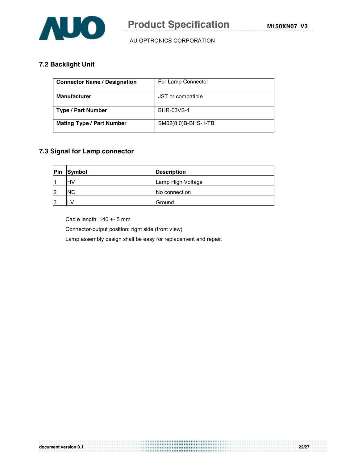

# **7.2 Backlight Unit**

| <b>Connector Name / Designation</b> | For Lamp Connector  |  |
|-------------------------------------|---------------------|--|
|                                     |                     |  |
|                                     |                     |  |
|                                     |                     |  |
| <b>Manufacturer</b>                 | JST or compatible   |  |
|                                     |                     |  |
|                                     |                     |  |
|                                     |                     |  |
|                                     | <b>BHR-03VS-1</b>   |  |
| <b>Type / Part Number</b>           |                     |  |
|                                     |                     |  |
|                                     |                     |  |
| <b>Mating Type / Part Number</b>    | SM02(8.0)B-BHS-1-TB |  |
|                                     |                     |  |
|                                     |                     |  |
|                                     |                     |  |

# **7.3 Signal for Lamp connector**

| Pin | Symbol    | <b>Description</b> |
|-----|-----------|--------------------|
|     | <b>HV</b> | Lamp High Voltage  |
| 12  | <b>NC</b> | No connection      |
| 13  | LV        | <b>IGround</b>     |

................................

Cable length: 140 +- 5 mm

Connector-output position: right side (front view)

Lamp assembly design shall be easy for replacement and repair.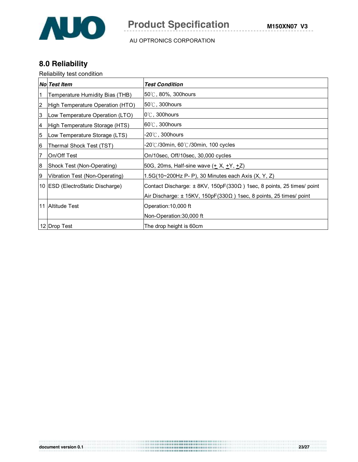

# **8.0 Reliability**

# Reliability test condition

|    | No Test Item                     | <b>Test Condition</b>                                                              |
|----|----------------------------------|------------------------------------------------------------------------------------|
| 1  | Temperature Humidity Bias (THB)  | $50^{\circ}$ C, 80%, 300 hours                                                     |
| 2  | High Temperature Operation (HTO) | 50°C, 300hours                                                                     |
| 3  | Low Temperature Operation (LTO)  | $0^{\circ}$ C, 300 hours                                                           |
| 4  | High Temperature Storage (HTS)   | $60^\circ$ C, 300 hours                                                            |
| 5  | Low Temperature Storage (LTS)    | $-20^{\circ}$ C, 300hours                                                          |
| 6  | Thermal Shock Test (TST)         | -20℃/30min, 60℃/30min, 100 cycles                                                  |
| 7  | On/Off Test                      | On/10sec, Off/10sec, 30,000 cycles                                                 |
| 8  | Shock Test (Non-Operating)       | 50G, 20ms, Half-sine wave ( <u>+</u> X, <u>+</u> Y, +Z)                            |
| 19 | Vibration Test (Non-Operating)   | 1.5G(10~200Hz P- P), 30 Minutes each Axis (X, Y, Z)                                |
|    | 10 ESD (ElectroStatic Discharge) | Contact Discharge: $\pm$ 8KV, 150pF(330 $\Omega$ ) 1sec, 8 points, 25 times/ point |
|    |                                  | Air Discharge: $\pm$ 15KV, 150pF(330 $\Omega$ ) 1sec, 8 points, 25 times/ point    |
|    | 11 Altitude Test                 | Operation: 10,000 ft                                                               |
|    |                                  | Non-Operation: 30,000 ft                                                           |
|    | 12 Drop Test                     | The drop height is 60cm                                                            |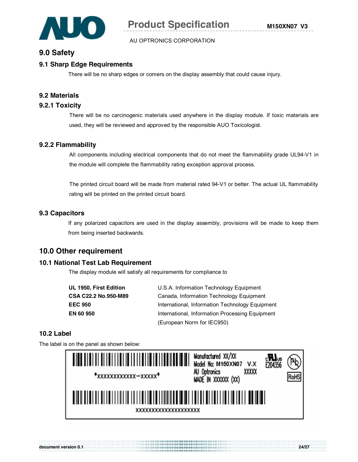

# **9.0 Safety**

# **9.1 Sharp Edge Requirements**

There will be no sharp edges or comers on the display assembly that could cause injury.

#### **9.2 Materials**

#### **9.2.1 Toxicity**

There will be no carcinogenic materials used anywhere in the display module. If toxic materials are used, they will be reviewed and approved by the responsible AUO Toxicologist.

#### **9.2.2 Flammability**

All components including electrical components that do not meet the flammability grade UL94-V1 in the module will complete the flammability rating exception approval process.

The printed circuit board will be made from material rated 94-V1 or better. The actual UL flammability rating will be printed on the printed circuit board.

#### **9.3 Capacitors**

If any polarized capacitors are used in the display assembly, provisions will be made to keep them from being inserted backwards.

# **10.0 Other requirement**

#### **10.1 National Test Lab Requirement**

The display module will satisfy all requirements for compliance to

| UL 1950, First Edition | U.S.A. Information Technology Equipment         |
|------------------------|-------------------------------------------------|
| CSA C22.2 No.950-M89   | Canada, Information Technology Equipment        |
| <b>EEC 950</b>         | International, Information Technology Equipment |
| <b>EN 60 950</b>       | International, Information Processing Equipment |
|                        | (European Norm for IEC950)                      |

### **10.2 Label**

The label is on the panel as shown below:

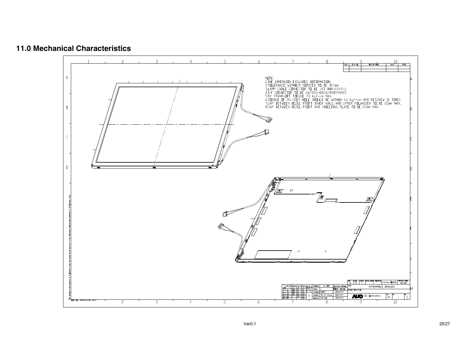

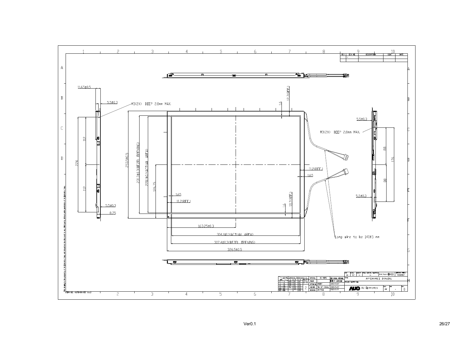